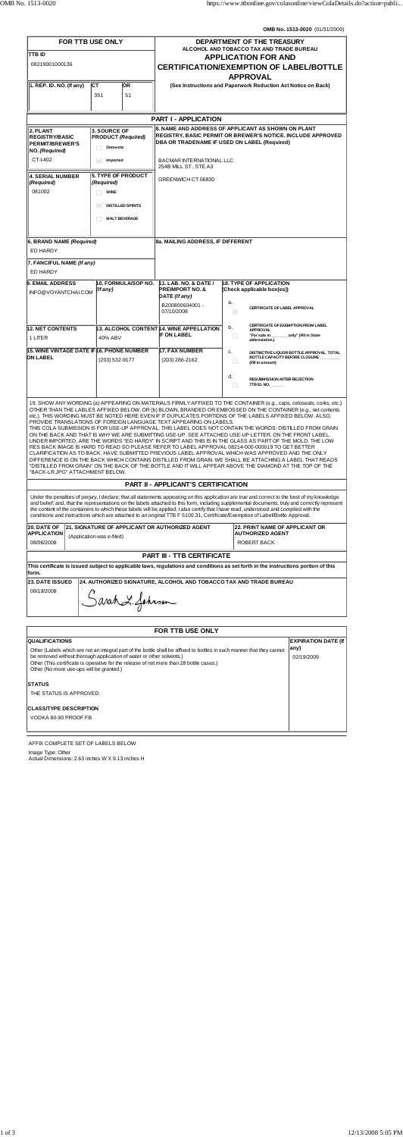**OMB No. 1513-0020** (01/31/2009)

| FOR TTB USE ONLY                                            |                                                                     |                           |                          | DEPARTMENT OF THE TREASURY                                                                                                                                               |             |                                                                                                                                                                                                                                                                                                                                                                                                                                                                                                                                                                                                                                                                                                                                                                                                                                                                                                                                                                                                                                                                                                               |  |
|-------------------------------------------------------------|---------------------------------------------------------------------|---------------------------|--------------------------|--------------------------------------------------------------------------------------------------------------------------------------------------------------------------|-------------|---------------------------------------------------------------------------------------------------------------------------------------------------------------------------------------------------------------------------------------------------------------------------------------------------------------------------------------------------------------------------------------------------------------------------------------------------------------------------------------------------------------------------------------------------------------------------------------------------------------------------------------------------------------------------------------------------------------------------------------------------------------------------------------------------------------------------------------------------------------------------------------------------------------------------------------------------------------------------------------------------------------------------------------------------------------------------------------------------------------|--|
| <b>TTB ID</b>                                               |                                                                     |                           |                          | ALCOHOL AND TOBACCO TAX AND TRADE BUREAU<br><b>APPLICATION FOR AND</b>                                                                                                   |             |                                                                                                                                                                                                                                                                                                                                                                                                                                                                                                                                                                                                                                                                                                                                                                                                                                                                                                                                                                                                                                                                                                               |  |
| 08219001000136                                              |                                                                     |                           |                          | <b>CERTIFICATION/EXEMPTION OF LABEL/BOTTLE</b>                                                                                                                           |             |                                                                                                                                                                                                                                                                                                                                                                                                                                                                                                                                                                                                                                                                                                                                                                                                                                                                                                                                                                                                                                                                                                               |  |
|                                                             |                                                                     |                           |                          |                                                                                                                                                                          |             | <b>APPROVAL</b>                                                                                                                                                                                                                                                                                                                                                                                                                                                                                                                                                                                                                                                                                                                                                                                                                                                                                                                                                                                                                                                                                               |  |
| $\vert$ 1. REP. ID. NO. (If any)                            | СT                                                                  |                           | OR.                      |                                                                                                                                                                          |             | (See Instructions and Paperwork Reduction Act Notice on Back)                                                                                                                                                                                                                                                                                                                                                                                                                                                                                                                                                                                                                                                                                                                                                                                                                                                                                                                                                                                                                                                 |  |
|                                                             |                                                                     | 351                       | 51                       |                                                                                                                                                                          |             |                                                                                                                                                                                                                                                                                                                                                                                                                                                                                                                                                                                                                                                                                                                                                                                                                                                                                                                                                                                                                                                                                                               |  |
|                                                             |                                                                     |                           |                          |                                                                                                                                                                          |             |                                                                                                                                                                                                                                                                                                                                                                                                                                                                                                                                                                                                                                                                                                                                                                                                                                                                                                                                                                                                                                                                                                               |  |
|                                                             |                                                                     |                           |                          | <b>PART I - APPLICATION</b>                                                                                                                                              |             |                                                                                                                                                                                                                                                                                                                                                                                                                                                                                                                                                                                                                                                                                                                                                                                                                                                                                                                                                                                                                                                                                                               |  |
| 2. PLANT<br><b>REGISTRY/BASIC</b><br><b>PERMIT/BREWER'S</b> | <b>3. SOURCE OF</b><br><b>PRODUCT (Required)</b><br><b>Domestic</b> |                           |                          | 8. NAME AND ADDRESS OF APPLICANT AS SHOWN ON PLANT<br><b>REGISTRY, BASIC PERMIT OR BREWER'S NOTICE. INCLUDE APPROVED</b><br>DBA OR TRADENAME IF USED ON LABEL (Required) |             |                                                                                                                                                                                                                                                                                                                                                                                                                                                                                                                                                                                                                                                                                                                                                                                                                                                                                                                                                                                                                                                                                                               |  |
| NO. (Required)<br>CT-I-402                                  |                                                                     |                           |                          |                                                                                                                                                                          |             |                                                                                                                                                                                                                                                                                                                                                                                                                                                                                                                                                                                                                                                                                                                                                                                                                                                                                                                                                                                                                                                                                                               |  |
|                                                             | $\checkmark$<br>Imported                                            |                           |                          | <b>BACMAR INTERNATIONAL LLC</b><br>254B MILL ST, STE A3                                                                                                                  |             |                                                                                                                                                                                                                                                                                                                                                                                                                                                                                                                                                                                                                                                                                                                                                                                                                                                                                                                                                                                                                                                                                                               |  |
| <b>4. SERIAL NUMBER</b><br>(Required)                       | <b>5. TYPE OF PRODUCT</b><br>(Required)                             |                           |                          | GREENWICH CT 06830                                                                                                                                                       |             |                                                                                                                                                                                                                                                                                                                                                                                                                                                                                                                                                                                                                                                                                                                                                                                                                                                                                                                                                                                                                                                                                                               |  |
| 081002                                                      |                                                                     | <b>WINE</b>               |                          |                                                                                                                                                                          |             |                                                                                                                                                                                                                                                                                                                                                                                                                                                                                                                                                                                                                                                                                                                                                                                                                                                                                                                                                                                                                                                                                                               |  |
|                                                             |                                                                     | $\triangledown$           | <b>DISTILLED SPIRITS</b> |                                                                                                                                                                          |             |                                                                                                                                                                                                                                                                                                                                                                                                                                                                                                                                                                                                                                                                                                                                                                                                                                                                                                                                                                                                                                                                                                               |  |
|                                                             |                                                                     |                           |                          |                                                                                                                                                                          |             |                                                                                                                                                                                                                                                                                                                                                                                                                                                                                                                                                                                                                                                                                                                                                                                                                                                                                                                                                                                                                                                                                                               |  |
|                                                             |                                                                     |                           | <b>MALT BEVERAGE</b>     |                                                                                                                                                                          |             |                                                                                                                                                                                                                                                                                                                                                                                                                                                                                                                                                                                                                                                                                                                                                                                                                                                                                                                                                                                                                                                                                                               |  |
|                                                             |                                                                     |                           |                          | 8a. MAILING ADDRESS, IF DIFFERENT                                                                                                                                        |             |                                                                                                                                                                                                                                                                                                                                                                                                                                                                                                                                                                                                                                                                                                                                                                                                                                                                                                                                                                                                                                                                                                               |  |
| 6. BRAND NAME (Required)<br>ED HARDY                        |                                                                     |                           |                          |                                                                                                                                                                          |             |                                                                                                                                                                                                                                                                                                                                                                                                                                                                                                                                                                                                                                                                                                                                                                                                                                                                                                                                                                                                                                                                                                               |  |
| 7. FANCIFUL NAME (If any)                                   |                                                                     |                           |                          |                                                                                                                                                                          |             |                                                                                                                                                                                                                                                                                                                                                                                                                                                                                                                                                                                                                                                                                                                                                                                                                                                                                                                                                                                                                                                                                                               |  |
| ED HARDY                                                    |                                                                     |                           |                          |                                                                                                                                                                          |             |                                                                                                                                                                                                                                                                                                                                                                                                                                                                                                                                                                                                                                                                                                                                                                                                                                                                                                                                                                                                                                                                                                               |  |
| <b>9. EMAIL ADDRESS</b>                                     |                                                                     |                           | 10. FORMULA/SOP NO.      | 11. LAB. NO. & DATE /                                                                                                                                                    |             | <b>18. TYPE OF APPLICATION</b>                                                                                                                                                                                                                                                                                                                                                                                                                                                                                                                                                                                                                                                                                                                                                                                                                                                                                                                                                                                                                                                                                |  |
| INFO@VOYANTCHALCOM                                          |                                                                     | (If any)                  |                          | <b>PREIMPORT NO. &amp;</b><br>DATE (If any)                                                                                                                              |             | (Check applicable box(es))                                                                                                                                                                                                                                                                                                                                                                                                                                                                                                                                                                                                                                                                                                                                                                                                                                                                                                                                                                                                                                                                                    |  |
|                                                             |                                                                     |                           |                          | B200800604001 -                                                                                                                                                          | а.          |                                                                                                                                                                                                                                                                                                                                                                                                                                                                                                                                                                                                                                                                                                                                                                                                                                                                                                                                                                                                                                                                                                               |  |
|                                                             |                                                                     |                           |                          | 07/10/2008                                                                                                                                                               |             | <b>CERTIFICATE OF LABEL APPROVAL</b><br>$\mathcal{A}$                                                                                                                                                                                                                                                                                                                                                                                                                                                                                                                                                                                                                                                                                                                                                                                                                                                                                                                                                                                                                                                         |  |
| <b>12. NET CONTENTS</b>                                     |                                                                     |                           |                          | 13. ALCOHOL CONTENT 14. WINE APPELLATION                                                                                                                                 | b.          | CERTIFICATE OF EXEMPTION FROM LABEL<br>APPROVAL                                                                                                                                                                                                                                                                                                                                                                                                                                                                                                                                                                                                                                                                                                                                                                                                                                                                                                                                                                                                                                                               |  |
| 1 LITER                                                     |                                                                     | 40% ABV                   |                          | <b>IF ON LABEL</b>                                                                                                                                                       |             | only" (Fill in State<br>"For sale in<br>□<br>abbreviation.)                                                                                                                                                                                                                                                                                                                                                                                                                                                                                                                                                                                                                                                                                                                                                                                                                                                                                                                                                                                                                                                   |  |
| 15. WINE VINTAGE DATE IF16. PHONE NUMBER                    |                                                                     |                           |                          | <b>17. FAX NUMBER</b>                                                                                                                                                    | c.          | DISTINCTIVE LIQUOR BOTTLE APPROVAL, TOTAL                                                                                                                                                                                                                                                                                                                                                                                                                                                                                                                                                                                                                                                                                                                                                                                                                                                                                                                                                                                                                                                                     |  |
| <b>ON LABEL</b>                                             |                                                                     | (203) 532-9177            |                          | (203) 286-2162                                                                                                                                                           |             | BOTTLE CAPACITY BEFORE CLOSURE<br>ш<br>(Fill in amount)                                                                                                                                                                                                                                                                                                                                                                                                                                                                                                                                                                                                                                                                                                                                                                                                                                                                                                                                                                                                                                                       |  |
|                                                             |                                                                     |                           |                          |                                                                                                                                                                          | d.          |                                                                                                                                                                                                                                                                                                                                                                                                                                                                                                                                                                                                                                                                                                                                                                                                                                                                                                                                                                                                                                                                                                               |  |
|                                                             |                                                                     |                           |                          |                                                                                                                                                                          |             | <b>RESUBMISSION AFTER REJECTION</b><br>TTB ID. NO. $\_\_\_\_\_\_\_\_\_\_\$<br>п                                                                                                                                                                                                                                                                                                                                                                                                                                                                                                                                                                                                                                                                                                                                                                                                                                                                                                                                                                                                                               |  |
| "BACK-LR.JPG" ATTACHMENT BELOW.                             |                                                                     |                           |                          | PROVIDE TRANSLATIONS OF FOREIGN LANGUAGE TEXT APPEARING ON LABELS.                                                                                                       |             | 19. SHOW ANY WORDING (a) APPEARING ON MATERIALS FIRMLY AFFIXED TO THE CONTAINER (e.g., caps, celoseals, corks, etc.)<br>OTHER THAN THE LABLES AFFIXED BELOW, OR (b) BLOWN, BRANDED OR EMBOSSED ON THE CONTAINER (e.g., net contents<br>etc.). THIS WORDING MUST BE NOTED HERE EVEN IF IT DUPLICATES PORTIONS OF THE LABELS AFFIXED BELOW. ALSO,<br>THIS COLA SUBMISSION IS FOR USE-UP APPROVAL. THIS LABEL DOES NOT CONTAIN THE WORDS: DISTILLED FROM GRAIN<br>ON THE BACK AND THAT IS WHY WE ARE SUBMITTING USE-UP. SEE ATTACHED USE-UP LETTER. ON THE FRONT LABEL,<br>UNDER IMPORTED, ARE THE WORDS "ED HARDY" IN SCRIPT AND THIS IS IN THE GLASS AS PART OF THE MOLD. THE LOW<br>RES BACK IMAGE IS HARD TO READ SO PLEASE REFER TO LABEL APPROVAL 08214-000-000019 TO GET BETTER<br>CLARIFICATION AS TO BACK. HAVE SUBMITTED PREVIOUS LABEL APPROVAL WHICH WAS APPROVED AND THE ONLY<br>DIFFERENCE IS ON THE BACK WHICH CONTAINS DISTILLED FROM GRAIN. WE SHALL BE ATTACHING A LABEL THAT READS<br>"DISTILLED FROM GRAIN" ON THE BACK OF THE BOTTLE AND IT WILL APPEAR ABOVE THE DIAMOND AT THE TOP OF THE |  |
|                                                             |                                                                     |                           |                          | <b>PART II - APPLICANT'S CERTIFICATION</b>                                                                                                                               |             |                                                                                                                                                                                                                                                                                                                                                                                                                                                                                                                                                                                                                                                                                                                                                                                                                                                                                                                                                                                                                                                                                                               |  |
|                                                             |                                                                     |                           |                          |                                                                                                                                                                          |             | Under the penalties of perjury, I declare; that all statements appearing on this application are true and correct to the best of my knowledge<br>and belief; and, that the representations on the labels attached to this form, including supplemental documents, truly and correctly represent<br>the content of the containers to which these labels will be applied. I also certify that I have read, understood and complied with the<br>conditions and instructions which are attached to an original TTB F 5100.31, Certificate/Exemption of Label/Bottle Approval.                                                                                                                                                                                                                                                                                                                                                                                                                                                                                                                                     |  |
| 20. DATE OF<br><b>APPLICATION</b>                           |                                                                     | (Application was e-filed) |                          | 21. SIGNATURE OF APPLICANT OR AUTHORIZED AGENT                                                                                                                           |             | <b>22. PRINT NAME OF APPLICANT OR</b><br><b>AUTHORIZED AGENT</b>                                                                                                                                                                                                                                                                                                                                                                                                                                                                                                                                                                                                                                                                                                                                                                                                                                                                                                                                                                                                                                              |  |
| 08/06/2008                                                  |                                                                     |                           |                          |                                                                                                                                                                          | ROBERT BACK |                                                                                                                                                                                                                                                                                                                                                                                                                                                                                                                                                                                                                                                                                                                                                                                                                                                                                                                                                                                                                                                                                                               |  |
|                                                             |                                                                     |                           |                          | <b>PART III - TTB CERTIFICATE</b>                                                                                                                                        |             |                                                                                                                                                                                                                                                                                                                                                                                                                                                                                                                                                                                                                                                                                                                                                                                                                                                                                                                                                                                                                                                                                                               |  |
| form.                                                       |                                                                     |                           |                          |                                                                                                                                                                          |             | This certificate is issued subject to applicable laws, regulations and conditions as set forth in the instructions portion of this                                                                                                                                                                                                                                                                                                                                                                                                                                                                                                                                                                                                                                                                                                                                                                                                                                                                                                                                                                            |  |
| <b>23. DATE ISSUED</b>                                      |                                                                     |                           |                          | 24. AUTHORIZED SIGNATURE, ALCOHOL AND TOBACCO TAX AND TRADE BUREAU                                                                                                       |             |                                                                                                                                                                                                                                                                                                                                                                                                                                                                                                                                                                                                                                                                                                                                                                                                                                                                                                                                                                                                                                                                                                               |  |
| 08/19/2008                                                  |                                                                     |                           |                          |                                                                                                                                                                          |             |                                                                                                                                                                                                                                                                                                                                                                                                                                                                                                                                                                                                                                                                                                                                                                                                                                                                                                                                                                                                                                                                                                               |  |

Sarah L. Johnson

| <b>FOR TTB USE ONLY</b>                                                                                                                                                                                                                                                                                                               |                            |  |  |  |  |  |
|---------------------------------------------------------------------------------------------------------------------------------------------------------------------------------------------------------------------------------------------------------------------------------------------------------------------------------------|----------------------------|--|--|--|--|--|
| <b>QUALIFICATIONS</b>                                                                                                                                                                                                                                                                                                                 | <b>EXPIRATION DATE (If</b> |  |  |  |  |  |
| Other (Labels which are not an integral part of the bottle shall be affixed to bottles in such manner that they cannot<br>be removed without thorough application of water or other solvents.)<br>Other (This certificate is operative for the release of not more than 28 bottle cases.)<br>Other (No more use-ups will be granted.) | any)<br>02/19/2009         |  |  |  |  |  |
| <b>STATUS</b>                                                                                                                                                                                                                                                                                                                         |                            |  |  |  |  |  |
| THE STATUS IS APPROVED.                                                                                                                                                                                                                                                                                                               |                            |  |  |  |  |  |
| <b>CLASS/TYPE DESCRIPTION</b>                                                                                                                                                                                                                                                                                                         |                            |  |  |  |  |  |
| VODKA 80-90 PROOF FB                                                                                                                                                                                                                                                                                                                  |                            |  |  |  |  |  |
|                                                                                                                                                                                                                                                                                                                                       |                            |  |  |  |  |  |

AFFIX COMPLETE SET OF LABELS BELOW

Image Type: Other Actual Dimensions: 2.63 inches W X 9.13 inches H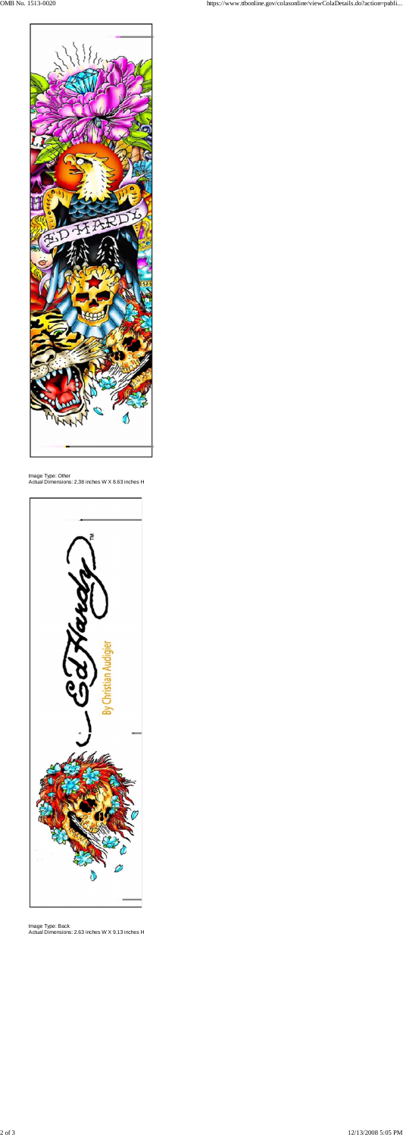

## Image Type: Other Actual Dimensions: 2.38 inches W X 8.63 inches H



Image Type: Back Actual Dimensions: 2.63 inches W X 9.13 inches H